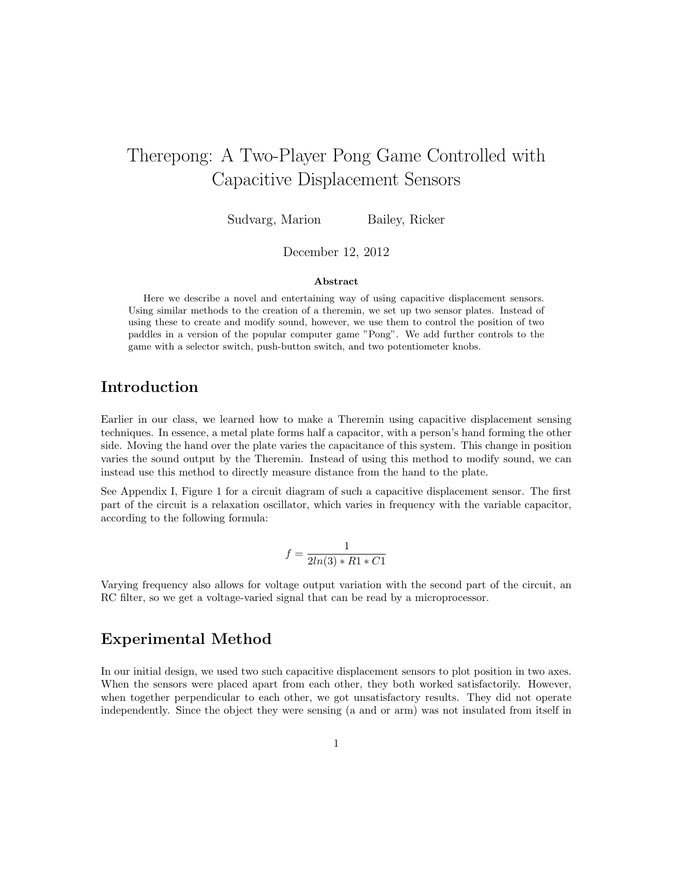# Therepong: A Two-Player Pong Game Controlled with Capacitive Displacement Sensors

Sudvarg, Marion Bailey, Ricker

December 12, 2012

### Abstract

Here we describe a novel and entertaining way of using capacitive displacement sensors. Using similar methods to the creation of a theremin, we set up two sensor plates. Instead of using these to create and modify sound, however, we use them to control the position of two paddles in a version of the popular computer game "Pong". We add further controls to the game with a selector switch, push-button switch, and two potentiometer knobs.

## Introduction

Earlier in our class, we learned how to make a Theremin using capacitive displacement sensing techniques. In essence, a metal plate forms half a capacitor, with a person's hand forming the other side. Moving the hand over the plate varies the capacitance of this system. This change in position varies the sound output by the Theremin. Instead of using this method to modify sound, we can instead use this method to directly measure distance from the hand to the plate.

See Appendix I, Figure 1 for a circuit diagram of such a capacitive displacement sensor. The first part of the circuit is a relaxation oscillator, which varies in frequency with the variable capacitor, according to the following formula:

$$
f = \frac{1}{2ln(3) * R1 * C1}
$$

Varying frequency also allows for voltage output variation with the second part of the circuit, an RC filter, so we get a voltage-varied signal that can be read by a microprocessor.

### Experimental Method

In our initial design, we used two such capacitive displacement sensors to plot position in two axes. When the sensors were placed apart from each other, they both worked satisfactorily. However, when together perpendicular to each other, we got unsatisfactory results. They did not operate independently. Since the object they were sensing (a and or arm) was not insulated from itself in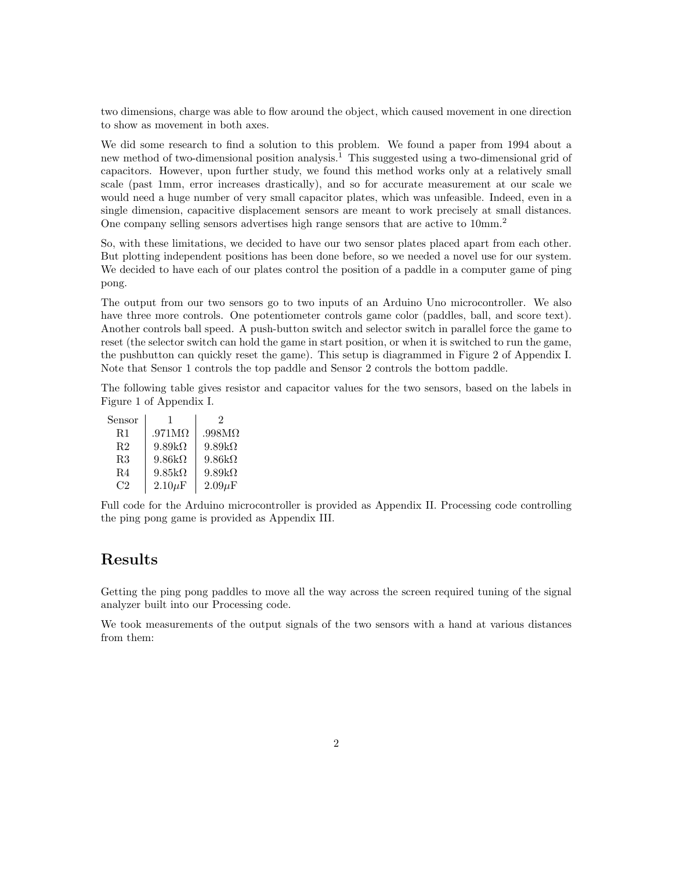two dimensions, charge was able to flow around the object, which caused movement in one direction to show as movement in both axes.

We did some research to find a solution to this problem. We found a paper from 1994 about a new method of two-dimensional position analysis.<sup>1</sup> This suggested using a two-dimensional grid of capacitors. However, upon further study, we found this method works only at a relatively small scale (past 1mm, error increases drastically), and so for accurate measurement at our scale we would need a huge number of very small capacitor plates, which was unfeasible. Indeed, even in a single dimension, capacitive displacement sensors are meant to work precisely at small distances. One company selling sensors advertises high range sensors that are active to 10mm.<sup>2</sup>

So, with these limitations, we decided to have our two sensor plates placed apart from each other. But plotting independent positions has been done before, so we needed a novel use for our system. We decided to have each of our plates control the position of a paddle in a computer game of ping pong.

The output from our two sensors go to two inputs of an Arduino Uno microcontroller. We also have three more controls. One potentiometer controls game color (paddles, ball, and score text). Another controls ball speed. A push-button switch and selector switch in parallel force the game to reset (the selector switch can hold the game in start position, or when it is switched to run the game, the pushbutton can quickly reset the game). This setup is diagrammed in Figure 2 of Appendix I. Note that Sensor 1 controls the top paddle and Sensor 2 controls the bottom paddle.

The following table gives resistor and capacitor values for the two sensors, based on the labels in Figure 1 of Appendix I.

| Sensor         |               | 2             |
|----------------|---------------|---------------|
| R1             | $.971M\Omega$ | $.998M\Omega$ |
| R <sub>2</sub> | $9.89k\Omega$ | $9.89k\Omega$ |
| R3             | $9.86k\Omega$ | $9.86k\Omega$ |
| R4             | $9.85k\Omega$ | $9.89k\Omega$ |
| C2             | $2.10 \mu F$  | $2.09\mu F$   |

Full code for the Arduino microcontroller is provided as Appendix II. Processing code controlling the ping pong game is provided as Appendix III.

## Results

Getting the ping pong paddles to move all the way across the screen required tuning of the signal analyzer built into our Processing code.

We took measurements of the output signals of the two sensors with a hand at various distances from them: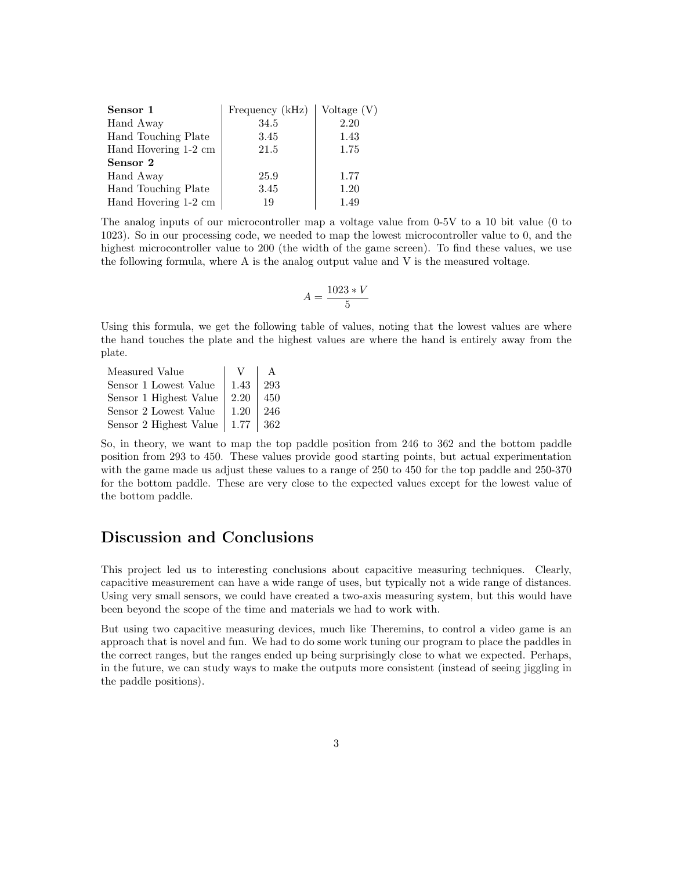| Sensor 1             | Frequency (kHz) | Voltage (V) |
|----------------------|-----------------|-------------|
| Hand Away            | 34.5            | 2.20        |
| Hand Touching Plate  | 3.45            | 1.43        |
| Hand Hovering 1-2 cm | 21.5            | 1.75        |
| Sensor 2             |                 |             |
| Hand Away            | 25.9            | 1.77        |
| Hand Touching Plate  | 3.45            | 1.20        |
| Hand Hovering 1-2 cm | 19              | 1.49        |

The analog inputs of our microcontroller map a voltage value from 0-5V to a 10 bit value (0 to 1023). So in our processing code, we needed to map the lowest microcontroller value to 0, and the highest microcontroller value to 200 (the width of the game screen). To find these values, we use the following formula, where A is the analog output value and V is the measured voltage.

$$
A = \frac{1023 \times V}{5}
$$

Using this formula, we get the following table of values, noting that the lowest values are where the hand touches the plate and the highest values are where the hand is entirely away from the plate.

| Measured Value         |      |     |
|------------------------|------|-----|
| Sensor 1 Lowest Value  | 1.43 | 293 |
| Sensor 1 Highest Value | 2.20 | 450 |
| Sensor 2 Lowest Value  | 1.20 | 246 |
| Sensor 2 Highest Value | 1.77 | 362 |

So, in theory, we want to map the top paddle position from 246 to 362 and the bottom paddle position from 293 to 450. These values provide good starting points, but actual experimentation with the game made us adjust these values to a range of 250 to 450 for the top paddle and 250-370 for the bottom paddle. These are very close to the expected values except for the lowest value of the bottom paddle.

## Discussion and Conclusions

This project led us to interesting conclusions about capacitive measuring techniques. Clearly, capacitive measurement can have a wide range of uses, but typically not a wide range of distances. Using very small sensors, we could have created a two-axis measuring system, but this would have been beyond the scope of the time and materials we had to work with.

But using two capacitive measuring devices, much like Theremins, to control a video game is an approach that is novel and fun. We had to do some work tuning our program to place the paddles in the correct ranges, but the ranges ended up being surprisingly close to what we expected. Perhaps, in the future, we can study ways to make the outputs more consistent (instead of seeing jiggling in the paddle positions).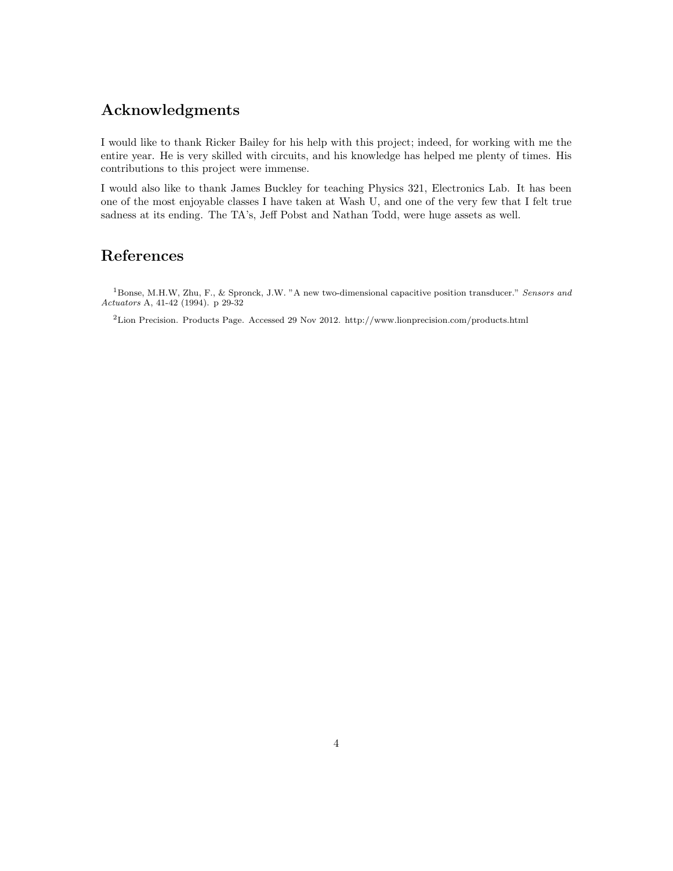## Acknowledgments

I would like to thank Ricker Bailey for his help with this project; indeed, for working with me the entire year. He is very skilled with circuits, and his knowledge has helped me plenty of times. His contributions to this project were immense.

I would also like to thank James Buckley for teaching Physics 321, Electronics Lab. It has been one of the most enjoyable classes I have taken at Wash U, and one of the very few that I felt true sadness at its ending. The TA's, Jeff Pobst and Nathan Todd, were huge assets as well.

## References

<sup>1</sup>Bonse, M.H.W, Zhu, F., & Spronck, J.W. "A new two-dimensional capacitive position transducer." *Sensors and Actuators* A, 41-42 (1994). p 29-32

<sup>2</sup>Lion Precision. Products Page. Accessed 29 Nov 2012. http://www.lionprecision.com/products.html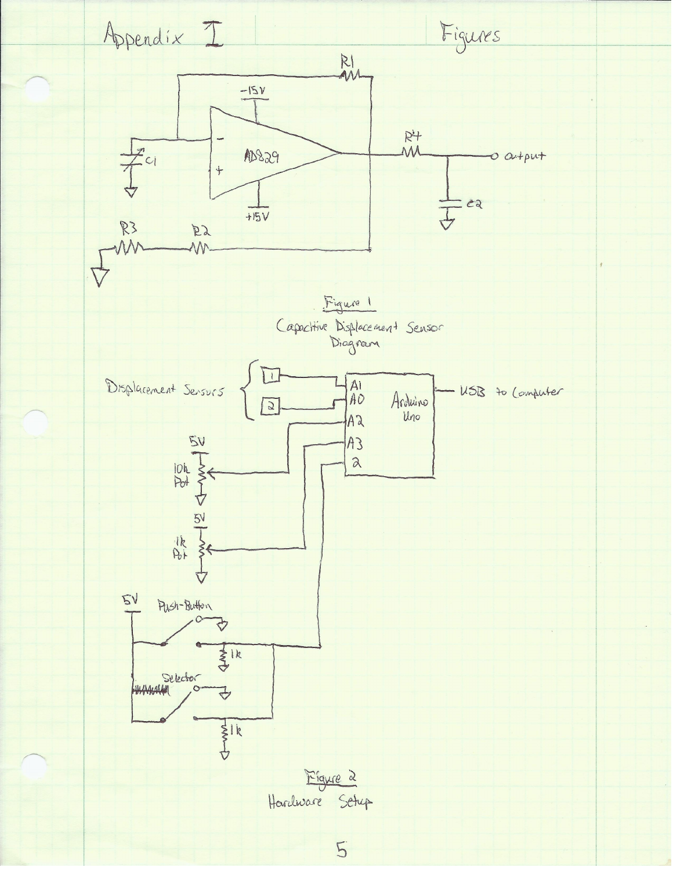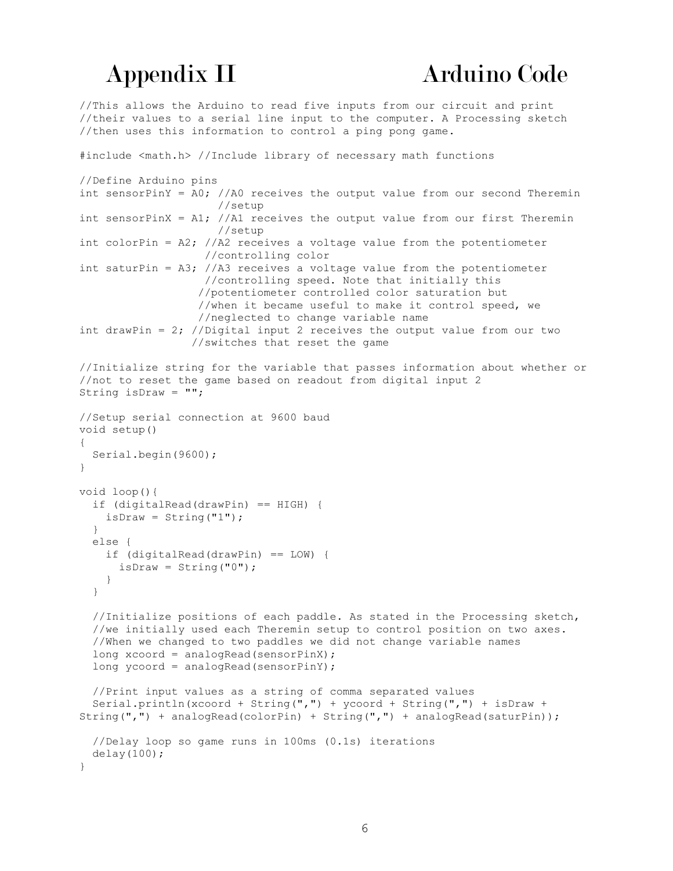//This allows the Arduino to read five inputs from our circuit and print //their values to a serial line input to the computer. A Processing sketch //then uses this information to control a ping pong game.

```
#include <math.h> //Include library of necessary math functions
//Define Arduino pins
int sensorPinY = A0; //A0 receives the output value from our second Theremin
                      //setup
int sensorPinX = A1; //A1 receives the output value from our first Theremin
                      //setup
int colorPin = A2; //A2 receives a voltage value from the potentiometer
                    //controlling color
int saturPin = A3; //A3 receives a voltage value from the potentiometer
                   //controlling speed. Note that initially this 
                  //potentiometer controlled color saturation but
                   //when it became useful to make it control speed, we
                  //neglected to change variable name
int drawPin = 2; //Digital input 2 receives the output value from our two
                  //switches that reset the game
//Initialize string for the variable that passes information about whether or
//not to reset the game based on readout from digital input 2
String isDraw = "";
//Setup serial connection at 9600 baud
void setup()
{
  Serial.begin(9600);
}
void loop(){
   if (digitalRead(drawPin) == HIGH) {
   isDraw = String('1");
   }
   else {
     if (digitalRead(drawPin) == LOW) {
     isDraw = String("0");
    }
   }
   //Initialize positions of each paddle. As stated in the Processing sketch,
   //we initially used each Theremin setup to control position on two axes.
   //When we changed to two paddles we did not change variable names
   long xcoord = analogRead(sensorPinX);
   long ycoord = analogRead(sensorPinY);
   //Print input values as a string of comma separated values
   Serial.println(xcoord + String(",") + ycoord + String(",") + isDraw + 
String(",") + analogRead(colorPin) + String(",") + analogRead(saturPin));
   //Delay loop so game runs in 100ms (0.1s) iterations
  delay(100);
}
```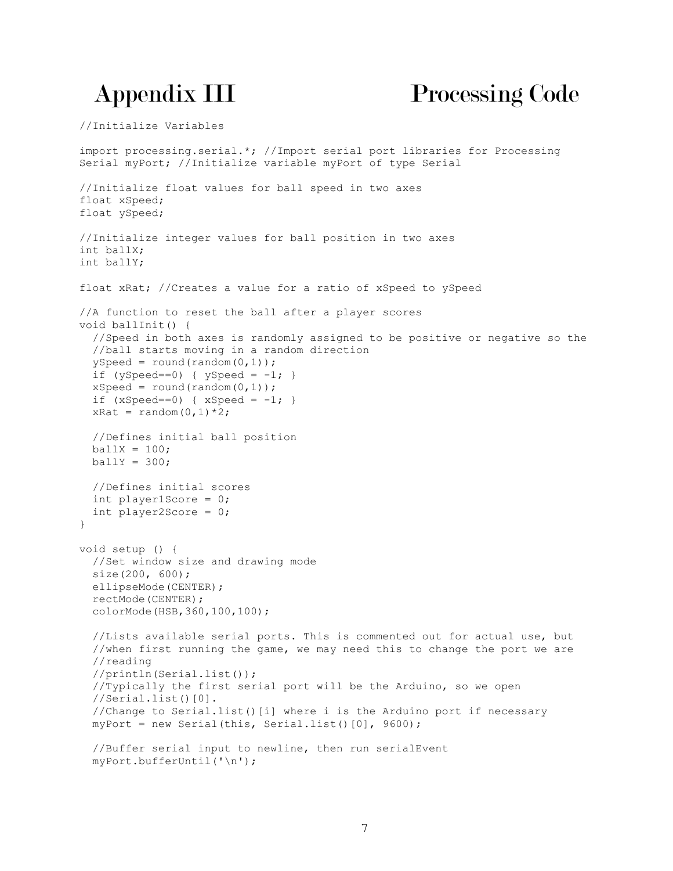# Appendix III Processing Code

//Initialize Variables

```
import processing.serial.*; //Import serial port libraries for Processing 
Serial myPort; //Initialize variable myPort of type Serial
//Initialize float values for ball speed in two axes
float xSpeed;
float ySpeed;
//Initialize integer values for ball position in two axes
int ballX;
int ballY;
float xRat; //Creates a value for a ratio of xSpeed to ySpeed
//A function to reset the ball after a player scores
void ballInit() {
   //Speed in both axes is randomly assigned to be positive or negative so the
   //ball starts moving in a random direction
  ySpeed = round(random(0,1));
 if (ySpeed==0) { ySpeed = -1; }
 xSpeed = round(random(0,1));if (xSpeed==0) { xSpeed = -1; }xRat = random(0, 1) * 2;
  //Defines initial ball position
 bally = 100;bally = 300:
   //Defines initial scores
   int player1Score = 0;
   int player2Score = 0;
}
void setup () {
   //Set window size and drawing mode
   size(200, 600); 
  ellipseMode(CENTER);
   rectMode(CENTER);
  colorMode(HSB,360,100,100);
   //Lists available serial ports. This is commented out for actual use, but
   //when first running the game, we may need this to change the port we are
   //reading
   //println(Serial.list());
   //Typically the first serial port will be the Arduino, so we open
  //Serial.list()[0].
   //Change to Serial.list()[i] where i is the Arduino port if necessary
  myPort = new Serial(this, Serial_list() [0], 9600); //Buffer serial input to newline, then run serialEvent
   myPort.bufferUntil('\n');
```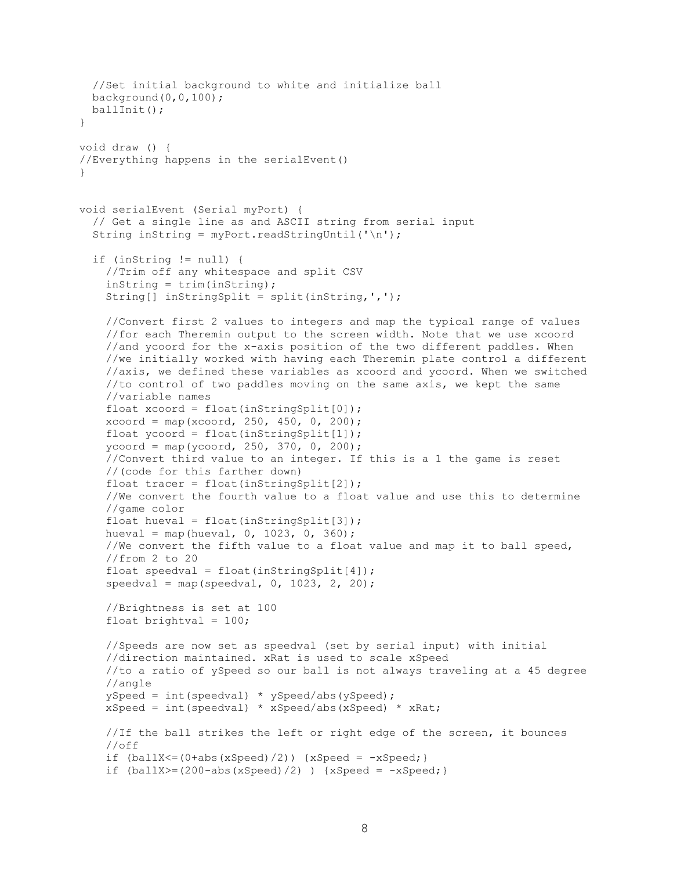```
 //Set initial background to white and initialize ball
  background(0,0,100); 
  ballInit();
}
void draw () {
//Everything happens in the serialEvent()
}
void serialEvent (Serial myPort) {
   // Get a single line as and ASCII string from serial input
  String inString = myPort.readStringUntil('\n');
   if (inString != null) {
     //Trim off any whitespace and split CSV
     inString = trim(inString);
     String[] inStringSplit = split(inString,',');
     //Convert first 2 values to integers and map the typical range of values
     //for each Theremin output to the screen width. Note that we use xcoord
     //and ycoord for the x-axis position of the two different paddles. When
     //we initially worked with having each Theremin plate control a different
     //axis, we defined these variables as xcoord and ycoord. When we switched
     //to control of two paddles moving on the same axis, we kept the same
     //variable names
    float xcoord = float(inStringSplit[0]);
    xcoord = map(xcoord, 250, 450, 0, 200);float ycoord = float(inStringSplit[1]);ycoord = map(ycoord, 250, 370, 0, 200);
     //Convert third value to an integer. If this is a 1 the game is reset
     //(code for this farther down)
    float tracer = float (inStringSplit[2]);
     //We convert the fourth value to a float value and use this to determine
     //game color
     float hueval = float(inStringSplit[3]);
    hueval = map(hueval, 0, 1023, 0, 360);
     //We convert the fifth value to a float value and map it to ball speed,
     //from 2 to 20
    float speedval = float(inStringSplit[4]);
    speedval = map(speedval, 0, 1023, 2, 20); //Brightness is set at 100
    float brightval = 100;
     //Speeds are now set as speedval (set by serial input) with initial
     //direction maintained. xRat is used to scale xSpeed
     //to a ratio of ySpeed so our ball is not always traveling at a 45 degree
     //angle
     ySpeed = int(speedval) * ySpeed/abs(ySpeed);
     xSpeed = int(speedval) * xSpeed/abs(xSpeed) * xRat;
     //If the ball strikes the left or right edge of the screen, it bounces
     //off
    if (ballX\leq (0+abs(xSpeed)/2)) {xSpeed = -xSpeed;}
    if (ballX)=(200-abs(xSpeed)/2) ) {xSpeed = -xSpeed;}
```